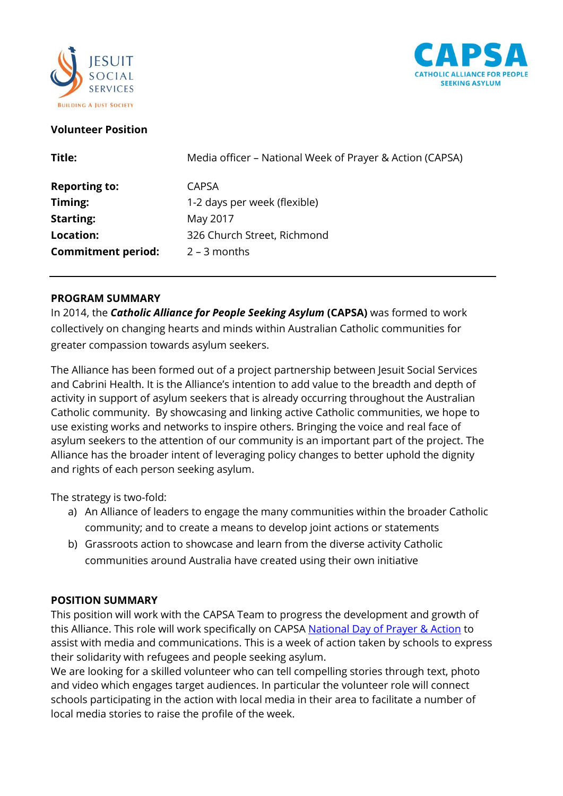



## **Volunteer Position**

| Title:                    | Media officer - National Week of Prayer & Action (CAPSA) |
|---------------------------|----------------------------------------------------------|
| <b>Reporting to:</b>      | <b>CAPSA</b>                                             |
| Timing:                   | 1-2 days per week (flexible)                             |
| <b>Starting:</b>          | May 2017                                                 |
| Location:                 | 326 Church Street, Richmond                              |
| <b>Commitment period:</b> | $2 - 3$ months                                           |

#### **PROGRAM SUMMARY**

In 2014, the *Catholic Alliance for People Seeking Asylum* **(CAPSA)** was formed to work collectively on changing hearts and minds within Australian Catholic communities for greater compassion towards asylum seekers.

The Alliance has been formed out of a project partnership between Jesuit Social Services and Cabrini Health. It is the Alliance's intention to add value to the breadth and depth of activity in support of asylum seekers that is already occurring throughout the Australian Catholic community. By showcasing and linking active Catholic communities, we hope to use existing works and networks to inspire others. Bringing the voice and real face of asylum seekers to the attention of our community is an important part of the project. The Alliance has the broader intent of leveraging policy changes to better uphold the dignity and rights of each person seeking asylum.

The strategy is two-fold:

- a) An Alliance of leaders to engage the many communities within the broader Catholic community; and to create a means to develop joint actions or statements
- b) Grassroots action to showcase and learn from the diverse activity Catholic communities around Australia have created using their own initiative

# **POSITION SUMMARY**

This position will work with the CAPSA Team to progress the development and growth of this Alliance. This role will work specifically on CAPSA [National Day of Prayer & Action](http://capsa.org.au/standing-in-solidarity-a-national-day-of-prayer-action/) to assist with media and communications. This is a week of action taken by schools to express their solidarity with refugees and people seeking asylum.

We are looking for a skilled volunteer who can tell compelling stories through text, photo and video which engages target audiences. In particular the volunteer role will connect schools participating in the action with local media in their area to facilitate a number of local media stories to raise the profile of the week.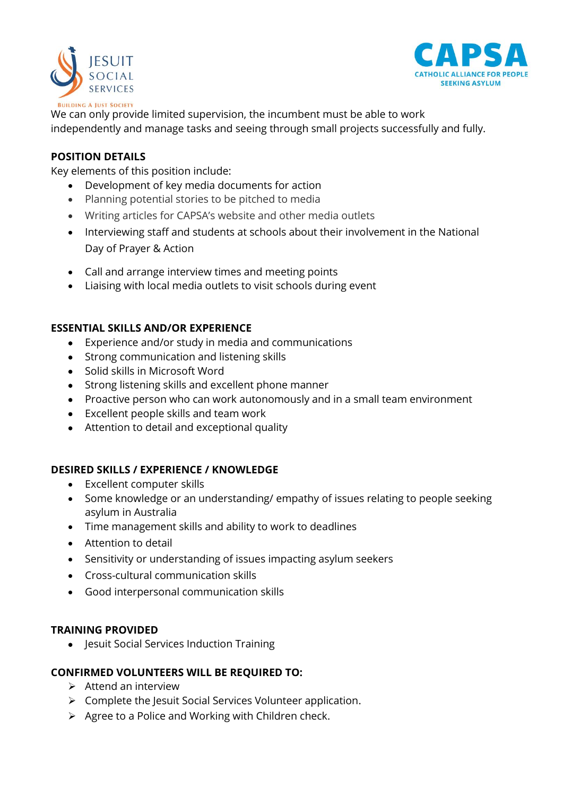



We can only provide limited supervision, the incumbent must be able to work independently and manage tasks and seeing through small projects successfully and fully.

### **POSITION DETAILS**

Key elements of this position include:

- Development of key media documents for action
- Planning potential stories to be pitched to media
- Writing articles for CAPSA's website and other media outlets
- Interviewing staff and students at schools about their involvement in the National Day of Prayer & Action
- Call and arrange interview times and meeting points
- Liaising with local media outlets to visit schools during event

### **ESSENTIAL SKILLS AND/OR EXPERIENCE**

- Experience and/or study in media and communications
- Strong communication and listening skills
- Solid skills in Microsoft Word
- Strong listening skills and excellent phone manner
- Proactive person who can work autonomously and in a small team environment
- Excellent people skills and team work
- Attention to detail and exceptional quality

# **DESIRED SKILLS / EXPERIENCE / KNOWLEDGE**

- Excellent computer skills
- Some knowledge or an understanding/ empathy of issues relating to people seeking asylum in Australia
- Time management skills and ability to work to deadlines
- Attention to detail
- Sensitivity or understanding of issues impacting asylum seekers
- Cross-cultural communication skills
- Good interpersonal communication skills

#### **TRAINING PROVIDED**

• Jesuit Social Services Induction Training

#### **CONFIRMED VOLUNTEERS WILL BE REQUIRED TO:**

- $\triangleright$  Attend an interview
- $\triangleright$  Complete the Jesuit Social Services Volunteer application.
- $\triangleright$  Agree to a Police and Working with Children check.